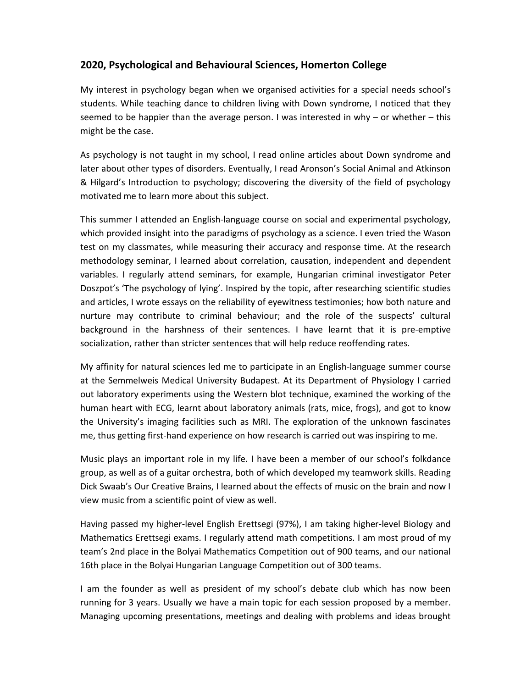## **2020, Psychological and Behavioural Sciences, Homerton College**

My interest in psychology began when we organised activities for a special needs school's students. While teaching dance to children living with Down syndrome, I noticed that they seemed to be happier than the average person. I was interested in why – or whether – this might be the case.

As psychology is not taught in my school, I read online articles about Down syndrome and later about other types of disorders. Eventually, I read Aronson's Social Animal and Atkinson & Hilgard's Introduction to psychology; discovering the diversity of the field of psychology motivated me to learn more about this subject.

This summer I attended an English-language course on social and experimental psychology, which provided insight into the paradigms of psychology as a science. I even tried the Wason test on my classmates, while measuring their accuracy and response time. At the research methodology seminar, I learned about correlation, causation, independent and dependent variables. I regularly attend seminars, for example, Hungarian criminal investigator Peter Doszpot's 'The psychology of lying'. Inspired by the topic, after researching scientific studies and articles, I wrote essays on the reliability of eyewitness testimonies; how both nature and nurture may contribute to criminal behaviour; and the role of the suspects' cultural background in the harshness of their sentences. I have learnt that it is pre-emptive socialization, rather than stricter sentences that will help reduce reoffending rates.

My affinity for natural sciences led me to participate in an English-language summer course at the Semmelweis Medical University Budapest. At its Department of Physiology I carried out laboratory experiments using the Western blot technique, examined the working of the human heart with ECG, learnt about laboratory animals (rats, mice, frogs), and got to know the University's imaging facilities such as MRI. The exploration of the unknown fascinates me, thus getting first-hand experience on how research is carried out was inspiring to me.

Music plays an important role in my life. I have been a member of our school's folkdance group, as well as of a guitar orchestra, both of which developed my teamwork skills. Reading Dick Swaab's Our Creative Brains, I learned about the effects of music on the brain and now I view music from a scientific point of view as well.

Having passed my higher-level English Erettsegi (97%), I am taking higher-level Biology and Mathematics Erettsegi exams. I regularly attend math competitions. I am most proud of my team's 2nd place in the Bolyai Mathematics Competition out of 900 teams, and our national 16th place in the Bolyai Hungarian Language Competition out of 300 teams.

I am the founder as well as president of my school's debate club which has now been running for 3 years. Usually we have a main topic for each session proposed by a member. Managing upcoming presentations, meetings and dealing with problems and ideas brought